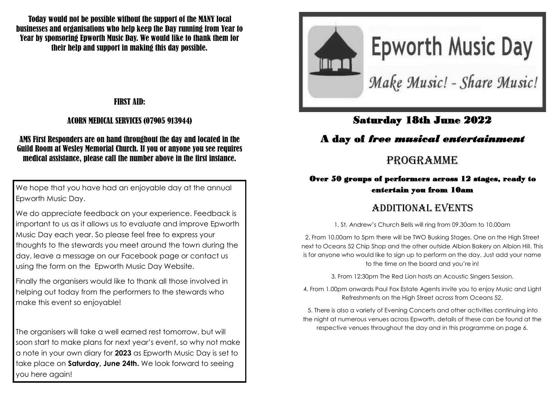Today would not be possible without the support of the MANY local businesses and organisations who help keep the Day running from Year to Year by sponsoring Epworth Music Day. We would like to thank them for their help and support in making this day possible.

### FIRST AID:

#### ACORN MEDICAL SERVICES (07905 913944)

#### AMS First Responders are on hand throughout the day and located in the Guild Room at Wesley Memorial Church. If you or anyone you see requires medical assistance, please call the number above in the first instance.

We hope that you have had an enjoyable day at the annual Epworth Music Day.

We do appreciate feedback on your experience. Feedback is important to us as it allows us to evaluate and improve Epworth Music Day each year. So please feel free to express your thoughts to the stewards you meet around the town during the day, leave a message on our Facebook page or contact us using the form on the Epworth Music Day Website.

Finally the organisers would like to thank all those involved in helping out today from the performers to the stewards who make this event so enjoyable!

The organisers will take a well earned rest tomorrow, but will soon start to make plans for next year's event, so why not make a note in your own diary for **2023** as Epworth Music Day is set to take place on **Saturday, June 24th.** We look forward to seeing you here again!



### Saturday 18th June 2022

# A day of *free musical entertainment*

# PROGRAMME

### Over 50 groups of performers across 12 stages, ready to entertain you from 10am

# ADDITIONAL EVENTS

1. St. Andrew's Church Bells will ring from 09.30am to 10.00am

2. From 10.00am to 5pm there will be TWO Busking Stages. One on the High Street next to Oceans 52 Chip Shop and the other outside Albion Bakery on Albion Hill. This is for anyone who would like to sign up to perform on the day. Just add your name to the time on the board and you're in!

3. From 12:30pm The Red Lion hosts an Acoustic Singers Session.

4. From 1.00pm onwards Paul Fox Estate Agents invite you to enjoy Music and Light Refreshments on the High Street across from Oceans 52.

5. There is also a variety of Evening Concerts and other activities continuing into the night at numerous venues across Epworth, details of these can be found at the respective venues throughout the day and in this programme on page 6.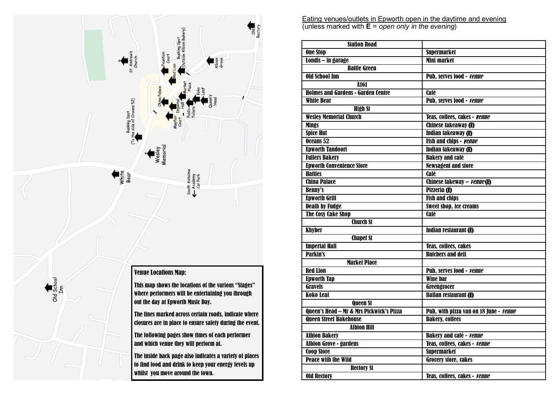

Eating venues/outlets in Epworth open in the daytime and evening (unless marked with **E** = *open only in the evening*)

| <b>Station Road</b>                       |                                        |
|-------------------------------------------|----------------------------------------|
| <b>One Stop</b>                           | <b>Supermarket</b>                     |
| Londis – in garage                        | <b>Mini market</b>                     |
| <b>Battle Green</b>                       |                                        |
| <b>Old School Inn</b>                     | <b>Pub, serves food - venue</b>        |
| A161                                      |                                        |
| <b>Holmes and Gardens - Garden Centre</b> | <b>Café</b>                            |
| <b>White Bear</b>                         | Pub, serves food - <i>venue</i>        |
| <b>High St</b>                            |                                        |
| <b>Wesley Memorial Church</b>             | Teas, coffees, cakes - <i>venue</i>    |
| <b>Mings</b>                              | <b>Chinese takeaway (E)</b>            |
| <b>Spice Hut</b>                          | Indian takeaway (E)                    |
| Oceans 52                                 | Fish and chips - <b>Venue</b>          |
| <b>Epworth Tandoori</b>                   | <b>Indian takeaway (E)</b>             |
| <b>Fullers Bakery</b>                     | <b>Bakery and café</b>                 |
| <b>Epworth Convenience Store</b>          | <b>Newsagent and store</b>             |
| <b>Hatties</b>                            | Café                                   |
| <b>China Palace</b>                       | Chinese takeway - <i>venue</i> (E)     |
| <b>Benny's</b>                            | Pizzeria (E)                           |
| <b>Epworth Grill</b>                      | <b>Fish and chips</b>                  |
| <b>Death by Fudge</b>                     | <b>Sweet shop, ice creams</b>          |
| <b>The Cosy Cake Shop</b>                 | Café                                   |
| <b>Church St</b>                          |                                        |
| <b>Khyber</b>                             | <b>Indian restaurant (E)</b>           |
| <b>Chapel St</b>                          |                                        |
| <b>Imperial Hall</b>                      | <b>Teas, coffees, cakes</b>            |
| <b>Parkin's</b>                           | <b>Butchers and deli</b>               |
| <b>Market Place</b>                       |                                        |
| <b>Red Lion</b>                           | Pub, serves food - venue               |
| <b>Epworth Tap</b>                        | <b>Wine bar</b>                        |
| <b>Gravels</b>                            | Greengrocer                            |
| <b>Koko Leaf</b>                          | <b>Italian restaurant (E)</b>          |
| Queen St                                  |                                        |
| Queen's Head - Mr & Mrs Pickwick's Pizza  | Pub, with pizza van on 18 June - venue |
| <b>Queen Street Bakehouse</b>             | <b>Bakery, coffees</b>                 |
| Albion Hill                               |                                        |
| <b>Albion Bakery</b>                      | <b>Bakery and café - venue</b>         |
| <b>Albion Grove - gardens</b>             | Teas, coffees, cakes - <i>venue</i>    |
| <b>Coop Store</b>                         | <b>Supermarket</b>                     |
| <b>Peace with the Wild</b>                | <b>Grocery store, cakes</b>            |
| <b>Rectory St</b>                         |                                        |
| <b>Old Rectory</b>                        | Teas, coffees, cakes - <i>venue</i>    |
|                                           |                                        |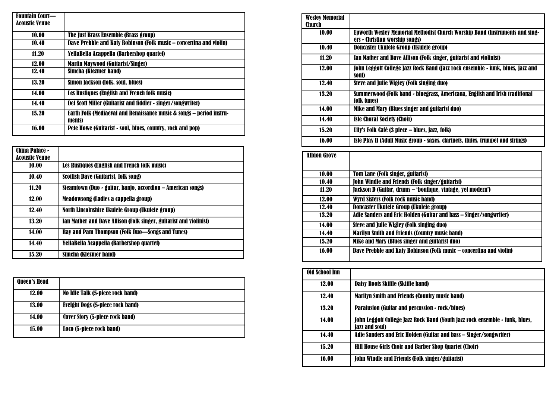| <b>Fountain Court—</b> |                                                                                |
|------------------------|--------------------------------------------------------------------------------|
| Acoustic Venue         |                                                                                |
| 10.00                  | The Just Brass Ensemble (Brass group)                                          |
| 10.40                  | Dave Prebble and Katy Robinson (Folk music – concertina and violin)            |
| 11.20                  | YellaBella Acappella (Barbershop quartet)                                      |
| 12.00                  | Martin Mavwood (Guitarist/Singer)                                              |
| 12.40                  | Simcha (Klezmer band)                                                          |
| 13.20                  | Simon Jackson (folk, soul, blues)                                              |
| 14.00                  | Les Rustiques (English and French folk music)                                  |
| 14.40                  | Del Scott Miller (Guitarist and fiddler - singer/songwriter)                   |
| 15.20                  | Earth Folk (Mediaeval and Renaissance music & songs - period instru-<br>ments) |
| 16.00                  | Pete Howe (Guitarist - soul, blues, country, rock and pop)                     |

| China Palace -        |                                                                    |
|-----------------------|--------------------------------------------------------------------|
|                       |                                                                    |
| <b>Acoustic Venue</b> |                                                                    |
| 10.00                 | Les Rustiques (English and French folk music)                      |
| 10.40                 | Scottish Dave (Guitarist, folk song)                               |
| 11.20                 | Steamtown (Duo - guitar, banjo, accordion - American songs)        |
| 12.00                 | Meadowsong (Ladies a cappella group)                               |
| 12.40                 | North Lincolnshire Ukulele Group (Ukulele group)                   |
| 13.20                 | Ian Mather and Dave Allison (Folk singer, guitarist and violinist) |
| 14.00                 | Ray and Pam Thompson (Folk Duo—Songs and Tunes)                    |
| 14.40                 | YellaBella Acappella (Barbershop quartet)                          |
| 15.20                 | Simcha (Klezmer band)                                              |

| <b>Queen's Head</b> |                                         |
|---------------------|-----------------------------------------|
| 12.00               | No Idle Talk (5-piece rock band)        |
| <b>13.00</b>        | <b>Freight Dogs (5-piece rock band)</b> |
| 14.00               | <b>Cover Story (5-piece rock band)</b>  |
| 15.00               | Loco (5-piece rock band)                |

| <b>Wesley Memorial</b><br>Church |                                                                                                                |
|----------------------------------|----------------------------------------------------------------------------------------------------------------|
| 10.00                            | Epworth Wesley Memorial Methodist Church Worship Band (Instruments and sing-<br>ers - Christian worship songs) |
| 10.40                            | Doncaster Ukulele Group (Ukulele group)                                                                        |
| 11.20                            | Tan Mather and Dave Allison (Folk singer, guitarist and violinist)                                             |
| 12.00                            | Tohn Leggott College Tazz Rock Band (Tazz rock ensemble - funk. blues. jazz and<br>soul)                       |
| 12.40                            | Steve and Julie Wigley (Folk singing duo)                                                                      |
| 13.20                            | Summerwood (Folk band - bluegrass, Americana, English and Irish traditional<br>folk tunes)                     |
| 14.00                            | Mike and Mary (Blues singer and guitarist duo)                                                                 |
| 14.40                            | <b>Isle Choral Society (Choir)</b>                                                                             |
| 15.20                            | Lily's Folk Café (3 piece – blues, jazz, folk)                                                                 |
| 16.00                            | Isle Play It (Adult Music group - saxes, clarinets, flutes, trumpet and strings)                               |

| <b>Albion Grove</b> |                                                                     |
|---------------------|---------------------------------------------------------------------|
|                     |                                                                     |
| 10.00               | <b>Tom Lane (Folk singer, guitarist)</b>                            |
| 10.40               | <b>John Windle and Friends (Folk singer/guitarist)</b>              |
| 11.20               | Jackson D (Guitar, drums - 'boutique, vintage, yet modern')         |
| 12.00               | Wyrd Sisters (Folk rock music band)                                 |
| 12.40               | Doncaster Ukulele Group (Ukulele group)                             |
| 13.20               | Adie Sanders and Eric Holden (Guitar and bass – Singer/songwriter)  |
| 14.00               | Steve and Julie Wigley (Folk singing duo)                           |
| 14.40               | <b>Marilyn Smith and Friends (Country music band)</b>               |
| 15.20               | Mike and Mary (Blues singer and guitarist duo)                      |
| 16.00               | Dave Prebble and Katy Robinson (Folk music – concertina and violin) |

| Old School Inn |                                                                                                       |
|----------------|-------------------------------------------------------------------------------------------------------|
| 12.00          | Daisy Roots Skiffle (Skiffle band)                                                                    |
| 12.40          | <b>Marilyn Smith and Friends (Country music band)</b>                                                 |
| 13.20          | <b>Paralusion (Guitar and percussion - rock/blues)</b>                                                |
| 14.00          | John Leggott College Jazz Rock Band (Youth jazz rock ensemble - funk, blues,<br><i>(azz and soul)</i> |
| 14.40          | Adie Sanders and Eric Holden (Guitar and bass – Singer/songwriter)                                    |
| 15.20          | <b>Hill House Girls Choir and Barber Shop Quartet (Choir)</b>                                         |
| 16.00          | <b>John Windle and Friends (Folk singer/guitarist)</b>                                                |